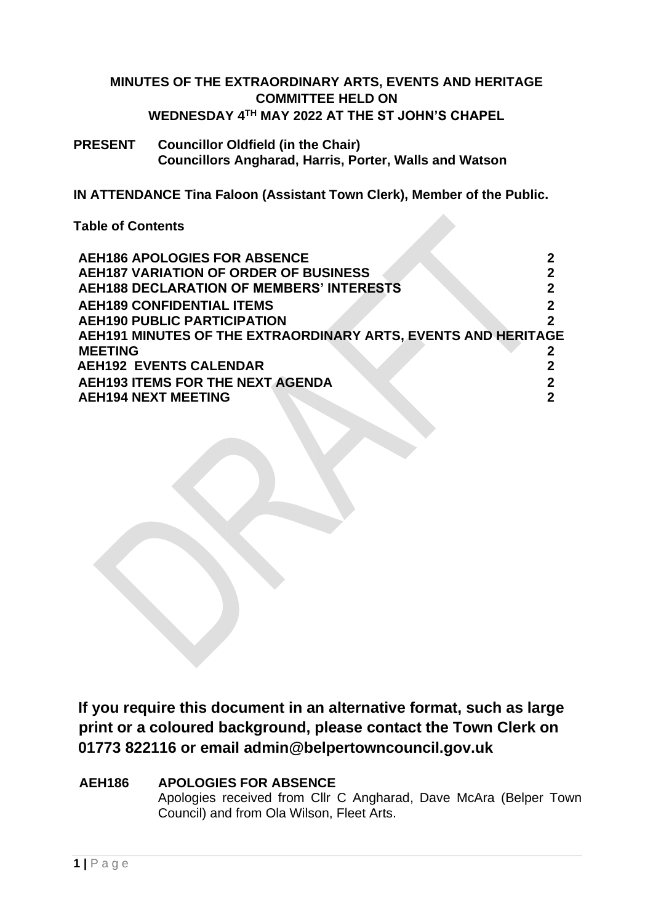## **MINUTES OF THE EXTRAORDINARY ARTS, EVENTS AND HERITAGE COMMITTEE HELD ON WEDNESDAY 4 TH MAY 2022 AT THE ST JOHN'S CHAPEL**

### **PRESENT Councillor Oldfield (in the Chair) Councillors Angharad, Harris, Porter, Walls and Watson**

**IN ATTENDANCE Tina Faloon (Assistant Town Clerk), Member of the Public.**

**Table of Contents** 

| <b>AEH186 APOLOGIES FOR ABSENCE</b>                           |  |
|---------------------------------------------------------------|--|
| <b>AEH187 VARIATION OF ORDER OF BUSINESS</b>                  |  |
| <b>AEH188 DECLARATION OF MEMBERS' INTERESTS</b>               |  |
| <b>AEH189 CONFIDENTIAL ITEMS</b>                              |  |
| <b>AEH190 PUBLIC PARTICIPATION</b>                            |  |
| AEH191 MINUTES OF THE EXTRAORDINARY ARTS, EVENTS AND HERITAGE |  |
| <b>MEETING</b>                                                |  |
| <b>AEH192 EVENTS CALENDAR</b>                                 |  |
| <b>AEH193 ITEMS FOR THE NEXT AGENDA</b>                       |  |
| <b>AEH194 NEXT MEETING</b>                                    |  |
|                                                               |  |

**If you require this document in an alternative format, such as large print or a coloured background, please contact the Town Clerk on 01773 822116 or email admin@belpertowncouncil.gov.uk** 

### **AEH186 APOLOGIES FOR ABSENCE**

Apologies received from Cllr C Angharad, Dave McAra (Belper Town Council) and from Ola Wilson, Fleet Arts.